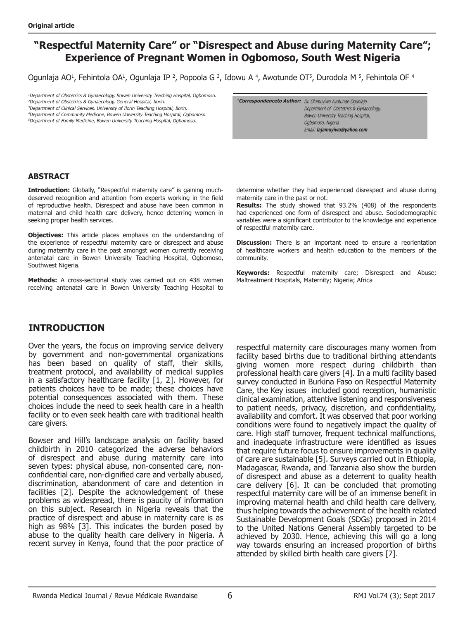# **"Respectful Maternity Care" or "Disrespect and Abuse during Maternity Care"; Experience of Pregnant Women in Ogbomoso, South West Nigeria**

Ogunlaja AO<sup>1</sup>, Fehintola OA<sup>1</sup>, Ogunlaja IP<sup>2</sup>, Popoola G<sup>3</sup>, Idowu A<sup>4</sup>, Awotunde OT<sup>5</sup>, Durodola M<sup>5</sup>, Fehintola OF<sup>4</sup>

<sup>1</sup>Department of Obstetrics & Gynaecology, Bowen University Teaching Hospital, Ogbomoso. <sup>2</sup>Department of Obstetrics & Gynaecology, General Hospital, Ilorin. <sup>3</sup>Department of Clinical Services, University of Ilorin Teaching Hospital, Ilorin. <sup>4</sup>Department of Community Medicine, Bowen University Teaching Hospital, Ogbomoso. <sup>5</sup>Department of Family Medicine, Bowen University Teaching Hospital, Ogbomoso.

**\*Correspondenceto Author:** Dr. Olumuyiwa Ayotunde Ogunlaja Department of Obstetrics & Gynaecology, Bowen University Teaching Hospital, Ogbomoso, Nigeria Email: **lajamuyiwa@yahoo.com**

### **ABSTRACT**

Introduction: Globally, "Respectful maternity care" is gaining muchdeserved recognition and attention from experts working in the field of reproductive health. Disrespect and abuse have been common in maternal and child health care delivery, hence deterring women in seeking proper health services.

**Objectives:** This article places emphasis on the understanding of the experience of respectful maternity care or disrespect and abuse during maternity care in the past amongst women currently receiving antenatal care in Bowen University Teaching Hospital, Ogbomoso, Southwest Nigeria.

**Methods:** A cross-sectional study was carried out on 438 women receiving antenatal care in Bowen University Teaching Hospital to determine whether they had experienced disrespect and abuse during maternity care in the past or not.

**Results:** The study showed that 93.2% (408) of the respondents had experienced one form of disrespect and abuse. Sociodemographic variables were a significant contributor to the knowledge and experience of respectful maternity care.

**Discussion:** There is an important need to ensure a reorientation of healthcare workers and health education to the members of the community.

**Keywords:** Respectful maternity care; Disrespect and Abuse; Maltreatment Hospitals, Maternity; Nigeria; Africa

## **INTRODUCTION**

Over the years, the focus on improving service delivery by government and non-governmental organizations has been based on quality of staff, their skills, treatment protocol, and availability of medical supplies in a satisfactory healthcare facility [1, 2]. However, for patients choices have to be made; these choices have potential consequences associated with them. These choices include the need to seek health care in a health facility or to even seek health care with traditional health care givers.

Bowser and Hill's landscape analysis on facility based childbirth in 2010 categorized the adverse behaviors of disrespect and abuse during maternity care into seven types: physical abuse, non-consented care, nonconfidential care, non-dignified care and verbally abused, discrimination, abandonment of care and detention in facilities [2]. Despite the acknowledgement of these problems as widespread, there is paucity of information on this subject. Research in Nigeria reveals that the practice of disrespect and abuse in maternity care is as high as 98% [3]. This indicates the burden posed by abuse to the quality health care delivery in Nigeria. A recent survey in Kenya, found that the poor practice of

respectful maternity care discourages many women from facility based births due to traditional birthing attendants giving women more respect during childbirth than professional health care givers [4]. In a multi facility based survey conducted in Burkina Faso on Respectful Maternity Care, the Key issues included good reception, humanistic clinical examination, attentive listening and responsiveness to patient needs, privacy, discretion, and confidentiality, availability and comfort. It was observed that poor working conditions were found to negatively impact the quality of care. High staff turnover, frequent technical malfunctions, and inadequate infrastructure were identified as issues that require future focus to ensure improvements in quality of care are sustainable [5]. Surveys carried out in Ethiopia, Madagascar, Rwanda, and Tanzania also show the burden of disrespect and abuse as a deterrent to quality health care delivery [6]. It can be concluded that promoting respectful maternity care will be of an immense benefit in improving maternal health and child health care delivery, thus helping towards the achievement of the health related Sustainable Development Goals (SDGs) proposed in 2014 to the United Nations General Assembly targeted to be achieved by 2030. Hence, achieving this will go a long way towards ensuring an increased proportion of births attended by skilled birth health care givers [7].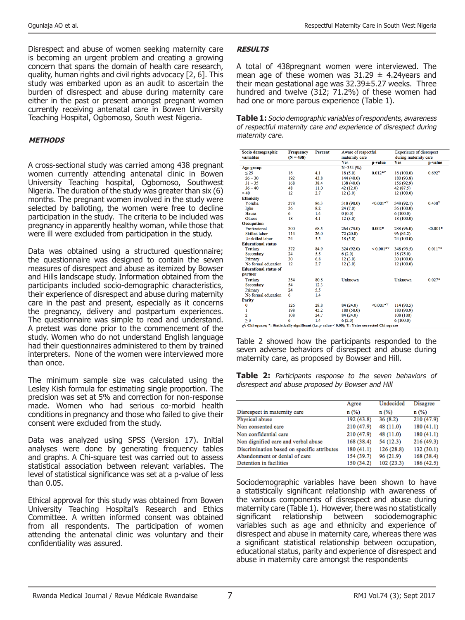Disrespect and abuse of women seeking maternity care is becoming an urgent problem and creating a growing concern that spans the domain of health care research, quality, human rights and civil rights advocacy [2, 6]. This study was embarked upon as an audit to ascertain the burden of disrespect and abuse during maternity care either in the past or present amongst pregnant women currently receiving antenatal care in Bowen University Teaching Hospital, Ogbomoso, South west Nigeria.

#### **METHODS**

A cross-sectional study was carried among 438 pregnant women currently attending antenatal clinic in Bowen University Teaching hospital, Ogbomoso, Southwest Nigeria. The duration of the study was greater than six (6) months. The pregnant women involved in the study were selected by balloting, the women were free to decline participation in the study. The criteria to be included was pregnancy in apparently healthy woman, while those that were ill were excluded from participation in the study.

Data was obtained using a structured questionnaire; the questionnaire was designed to contain the seven measures of disrespect and abuse as itemized by Bowser and Hills landscape study. Information obtained from the participants included socio-demographic characteristics, their experience of disrespect and abuse during maternity care in the past and present, especially as it concerns the pregnancy, delivery and postpartum experiences. The questionnaire was simple to read and understand. A pretest was done prior to the commencement of the study. Women who do not understand English language had their questionnaires administered to them by trained interpreters. None of the women were interviewed more than once.

The minimum sample size was calculated using the Lesley Kish formula for estimating single proportion. The precision was set at 5% and correction for non-response made. Women who had serious co-morbid health conditions in pregnancy and those who failed to give their consent were excluded from the study.

Data was analyzed using SPSS (Version 17). Initial analyses were done by generating frequency tables and graphs. A Chi-square test was carried out to assess statistical association between relevant variables. The level of statistical significance was set at a p-value of less than 0.05.

Ethical approval for this study was obtained from Bowen University Teaching Hospital's Research and Ethics Committee. A written informed consent was obtained from all respondents. The participation of women attending the antenatal clinic was voluntary and their confidentiality was assured.

#### **RESULTS**

A total of 438pregnant women were interviewed. The mean age of these women was  $31.29 \pm 4.24$ years and their mean gestational age was 32.39±5.27 weeks. Three hundred and twelve (312; 71.2%) of these women had had one or more parous experience (Table 1).

**Table 1:** Socio demographic variables of respondents, awareness of respectful maternity care and experience of disrespect during maternity care.

| Socio demographic                                                                                          | <b>Frequency</b><br>$(N = 438)$ | <b>Percent</b> | Aware of respectful<br>maternity care |             | Experience of disrespect<br>during maternity care |           |
|------------------------------------------------------------------------------------------------------------|---------------------------------|----------------|---------------------------------------|-------------|---------------------------------------------------|-----------|
| variables                                                                                                  |                                 |                |                                       |             |                                                   |           |
|                                                                                                            |                                 |                | Yes                                   | p-value     | Yes                                               | p-value   |
| Age group                                                                                                  |                                 |                | $N=354(%)$                            |             |                                                   |           |
| < 25                                                                                                       | 18                              | 4.1            | 18(5.0)                               | $0.012**$   | 18 (100.0)                                        | 0.692Y    |
| $26 - 30$                                                                                                  | 192                             | 43.8           | 144 (40.0)                            |             | 180 (93.8)                                        |           |
| $31 - 35$                                                                                                  | 168                             | 38.4           | 138 (40.0)                            |             | 156 (92.9)                                        |           |
| $36 - 40$                                                                                                  | 48                              | 11.0           | 42 (12.0)                             |             | 42 (87.5)                                         |           |
| >40                                                                                                        | 12                              | 2.7            | 12(3.0)                               |             | 12 (100.0)                                        |           |
| <b>Ethnicity</b>                                                                                           |                                 |                |                                       |             |                                                   |           |
| Yoruba                                                                                                     | 378                             | 86.3           | 318 (90.0)                            | $<0.001**$  | 348 (92.1)                                        | 0.438Y    |
| Igbo                                                                                                       | 36                              | 8.2            | 24(7.0)                               |             | 36(100.0)                                         |           |
| Hausa                                                                                                      | 6                               | 1.4            | 0(0.0)                                |             | 6(100.0)                                          |           |
| Others                                                                                                     | 18                              | 4.1            | 12(3.0)                               |             | 18 (100.0)                                        |           |
| Occupation                                                                                                 |                                 |                |                                       |             |                                                   |           |
| Professional                                                                                               | 300                             | 68.5           | 264 (75.0)                            | $0.002*$    | 288 (96.0)                                        | $<0.001*$ |
| <b>Skilled</b> labor                                                                                       | 114                             | 26.0           | 72 (20.0)                             |             | 96 (84.2)                                         |           |
| <b>Unskilled</b> labor                                                                                     | 24                              | 5.5            | 18(5.0)                               |             | 24 (100.0)                                        |           |
| <b>Educational status</b>                                                                                  |                                 |                |                                       |             |                                                   |           |
| <b>Tertiary</b>                                                                                            | 372                             | 84.9           | 324 (92.0)                            | $< 0.001*Y$ | 348 (93.5)                                        | $0.011Y*$ |
| Secondary                                                                                                  | 24                              | 5.5            | 6(2.0)                                |             | 18(75.0)                                          |           |
| Primary                                                                                                    | 30                              | 6.8            | 12(3.0)                               |             | 30 (100.0)                                        |           |
| No formal education                                                                                        | 12                              | 2.7            | 12(3.0)                               |             | 12(100.0)                                         |           |
| <b>Educational status of</b>                                                                               |                                 |                |                                       |             |                                                   |           |
| partner                                                                                                    |                                 |                |                                       |             |                                                   |           |
| Tertiary                                                                                                   | 354                             | 80.8           | Unknown                               |             | Unknown                                           | $0.027*$  |
| Secondary                                                                                                  | 54                              | 12.3           |                                       |             |                                                   |           |
| Primary                                                                                                    | 24                              | 5.5            |                                       |             |                                                   |           |
| No formal education                                                                                        | 6                               | 1.4            |                                       |             |                                                   |           |
| Parity                                                                                                     |                                 |                |                                       |             |                                                   |           |
| $\bf{0}$                                                                                                   | 126                             | 28.8           | 84 (24.0)                             | $<0.001**$  | 114 (90.5)                                        |           |
| 1                                                                                                          | 198                             | 45.2           | 180(50.0)                             |             | 180 (90.9)                                        |           |
| $\overline{2}$                                                                                             | 108                             | 24.7           | 84 (24.0)                             |             | 108 (100)                                         |           |
| $\geq$ 3                                                                                                   | 6                               | 1.4            | 6(2.0)                                |             | 6(100.0)                                          |           |
| $\gamma^2$ : Chi square: *: Statistically significant (i.e. p value < 0.05): Y: Yates corrected Chi square |                                 |                |                                       |             |                                                   |           |

Table 2 showed how the participants responded to the seven adverse behaviors of disrespect and abuse during maternity care, as proposed by Bowser and Hill.

**Table 2:** Participants response to the seven behaviors of disrespect and abuse proposed by Bowser and Hill

|                                             | Agree      | Undecided | Disagree   |
|---------------------------------------------|------------|-----------|------------|
| Disrespect in maternity care                | n(%)       | n(%)      | n(%)       |
| Physical abuse                              | 192 (43.8) | 36(8.2)   | 210 (47.9) |
| Non consented care                          | 210 (47.9) | 48 (11.0) | 180(41.1)  |
| Non confidential care                       | 210 (47.9) | 48 (11.0) | 180(41.1)  |
| Non dignified care and verbal abuse         | 168(38.4)  | 54 (12.3) | 216 (49.3) |
| Discrimination based on specific attributes | 180(41.1)  | 126(28.8) | 132(30.1)  |
| Abandonment or denial of care               | 154 (39.7) | 96(21.9)  | 168 (38.4) |
| Detention in facilities                     | 150 (34.2) | 102(23.3) | 186 (42.5) |

Sociodemographic variables have been shown to have a statistically significant relationship with awareness of the various components of disrespect and abuse during maternity care (Table 1). However, there was no statistically<br>significant relationship between sociodemographic significant relationship variables such as age and ethnicity and experience of disrespect and abuse in maternity care, whereas there was a significant statistical relationship between occupation, educational status, parity and experience of disrespect and abuse in maternity care amongst the respondents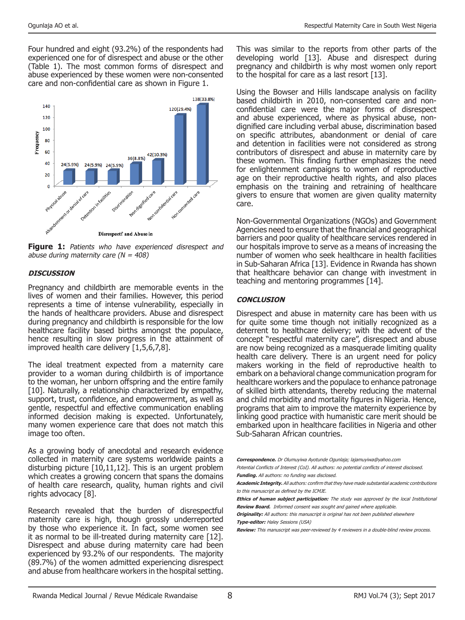Four hundred and eight (93.2%) of the respondents had experienced one for of disrespect and abuse or the other (Table 1). The most common forms of disrespect and abuse experienced by these women were non-consented care and non-confidential care as shown in Figure 1.



Figure 1: Patients who have experienced disrespect and abuse during maternity care  $(N = 408)$ 

#### **DISCUSSION**

Pregnancy and childbirth are memorable events in the lives of women and their families. However, this period represents a time of intense vulnerability, especially in the hands of healthcare providers. Abuse and disrespect during pregnancy and childbirth is responsible for the low healthcare facility based births amongst the populace, hence resulting in slow progress in the attainment of improved health care delivery [1,5,6,7,8].

The ideal treatment expected from a maternity care provider to a woman during childbirth is of importance to the woman, her unborn offspring and the entire family [10]. Naturally, a relationship characterized by empathy, support, trust, confidence, and empowerment, as well as gentle, respectful and effective communication enabling informed decision making is expected. Unfortunately, many women experience care that does not match this image too often.

As a growing body of anecdotal and research evidence collected in maternity care systems worldwide paints a disturbing picture [10,11,12]. This is an urgent problem which creates a growing concern that spans the domains of health care research, quality, human rights and civil rights advocacy [8].

Research revealed that the burden of disrespectful maternity care is high, though grossly underreported by those who experience it. In fact, some women see it as normal to be ill-treated during maternity care [12]. Disrespect and abuse during maternity care had been experienced by 93.2% of our respondents. The majority (89.7%) of the women admitted experiencing disrespect and abuse from healthcare workers in the hospital setting. This was similar to the reports from other parts of the developing world [13]. Abuse and disrespect during pregnancy and childbirth is why most women only report to the hospital for care as a last resort [13].

Using the Bowser and Hills landscape analysis on facility based childbirth in 2010, non-consented care and nonconfidential care were the major forms of disrespect and abuse experienced, where as physical abuse, nondignified care including verbal abuse, discrimination based on specific attributes, abandonment or denial of care and detention in facilities were not considered as strong contributors of disrespect and abuse in maternity care by these women. This finding further emphasizes the need for enlightenment campaigns to women of reproductive age on their reproductive health rights, and also places emphasis on the training and retraining of healthcare givers to ensure that women are given quality maternity care.

Non-Governmental Organizations (NGOs) and Government Agencies need to ensure that the financial and geographical barriers and poor quality of healthcare services rendered in our hospitals improve to serve as a means of increasing the number of women who seek healthcare in health facilities in Sub-Saharan Africa [13]. Evidence in Rwanda has shown that healthcare behavior can change with investment in teaching and mentoring programmes [14].

#### **CONCLUSION**

Disrespect and abuse in maternity care has been with us for quite some time though not initially recognized as a deterrent to healthcare delivery; with the advent of the concept "respectful maternity care", disrespect and abuse are now being recognized as a masquerade limiting quality health care delivery. There is an urgent need for policy makers working in the field of reproductive health to embark on a behavioral change communication program for healthcare workers and the populace to enhance patronage of skilled birth attendants, thereby reducing the maternal and child morbidity and mortality figures in Nigeria. Hence, programs that aim to improve the maternity experience by linking good practice with humanistic care merit should be embarked upon in healthcare facilities in Nigeria and other Sub-Saharan African countries.

**Correspondence.** Dr Olumuyiwa Ayotunde Ogunlaja; lajamuyiwa@yahoo.com Potential Conflicts of Interest (CoI). All authors: no potential conflicts of interest disclosed.

Funding. All authors: no funding was disclosed. **Academic Integrity.** All authors: confirm that they have made substantial academic contributions

to this manuscript as defined by the ICMJE. **Ethics of human subject participation:** The study was approved by the local Institutional

**Review Board.** Informed consent was sought and gained where applicable.

**Originality:** All authors: this manuscript is original has not been published elsewhere **Type-editor:** Haley Sessions (USA)

**Review:** This manuscript was peer-reviewed by 4 reviewers in a double-blind review process.